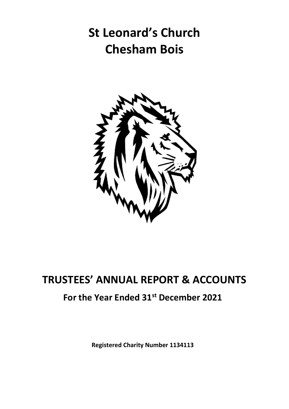# **St Leonard's Church Chesham Bois**



# **TRUSTEES' ANNUAL REPORT & ACCOUNTS**

# **For the Year Ended 31st December 2021**

**Registered Charity Number 1134113**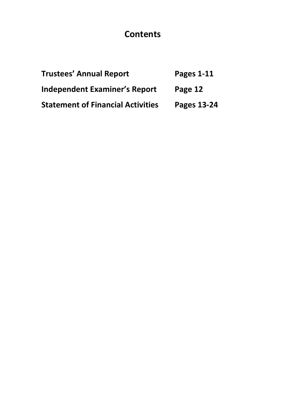# **Contents**

| <b>Trustees' Annual Report</b>           | Pages 1-11         |
|------------------------------------------|--------------------|
| <b>Independent Examiner's Report</b>     | Page 12            |
| <b>Statement of Financial Activities</b> | <b>Pages 13-24</b> |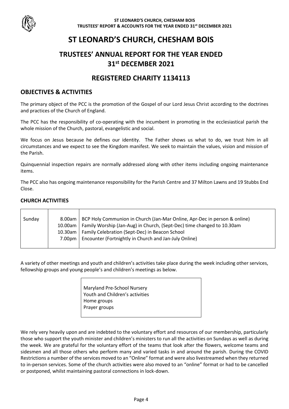

# **ST LEONARD'S CHURCH, CHESHAM BOIS**

# **TRUSTEES' ANNUAL REPORT FOR THE YEAR ENDED 31st DECEMBER 2021**

# **REGISTERED CHARITY 1134113**

## **OBJECTIVES & ACTIVITIES**

The primary object of the PCC is the promotion of the Gospel of our Lord Jesus Christ according to the doctrines and practices of the Church of England.

The PCC has the responsibility of co-operating with the incumbent in promoting in the ecclesiastical parish the whole mission of the Church, pastoral, evangelistic and social.

We focus on Jesus because he defines our identity. The Father shows us what to do, we trust him in all circumstances and we expect to see the Kingdom manifest. We seek to maintain the values, vision and mission of the Parish.

Quinquennial inspection repairs are normally addressed along with other items including ongoing maintenance items.

The PCC also has ongoing maintenance responsibility for the Parish Centre and 37 Milton Lawns and 19 Stubbs End Close.

#### **CHURCH ACTIVITIES**

| Sunday | 8.00am   BCP Holy Communion in Church (Jan-Mar Online, Apr-Dec in person & online) |
|--------|------------------------------------------------------------------------------------|
|        | 10.00am   Family Worship (Jan-Aug) in Church, (Sept-Dec) time changed to 10.30am   |
|        | 10.30am   Family Celebration (Sept-Dec) in Beacon School                           |
|        | 7.00pm   Encounter (Fortnightly in Church and Jan-July Online)                     |
|        |                                                                                    |

A variety of other meetings and youth and children's activities take place during the week including other services, fellowship groups and young people's and children's meetings as below.

> Maryland Pre-School Nursery Youth and Children's activities Home groups Prayer groups

We rely very heavily upon and are indebted to the voluntary effort and resources of our membership, particularly those who support the youth minister and children's ministers to run all the activities on Sundays as well as during the week. We are grateful for the voluntary effort of the teams that look after the flowers, welcome teams and sidesmen and all those others who perform many and varied tasks in and around the parish. During the COVID Restrictions a number of the services moved to an "Online" format and were also livestreamed when they returned to in-person services. Some of the church activities were also moved to an "online" format or had to be cancelled or postponed, whilst maintaining pastoral connections in lock-down.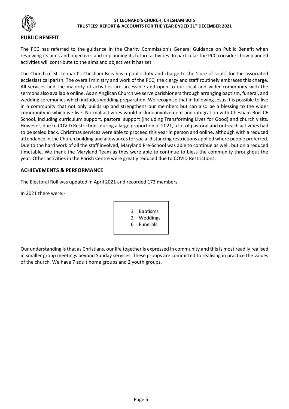

#### **PUBLIC BENEFIT**

The PCC has referred to the guidance in the Charity Commission's General Guidance on Public Benefit when reviewing its aims and objectives and in planning its future activities. In particular the PCC considers how planned activities will contribute to the aims and objectives it has set.

The Church of St. Leonard's Chesham Bois has a public duty and charge to the 'cure of souls' for the associated ecclesiastical parish. The overall ministry and work of the PCC, the clergy and staff routinely embraces this charge. All services and the majority of activities are accessible and open to our local and wider community with the sermons also available online. As an Anglican Church we serve parishioners through arranging baptism, funeral, and wedding ceremonies which includes wedding preparation. We recognise that in following Jesus it is possible to live in a community that not only builds up and strengthens our members but can also be a blessing to the wider community in which we live. Normal activities would include involvement and integration with Chesham Bois CE School, including curriculum support, pastoral support (including Transforming Lives for Good) and church visits. However, due to COVID Restrictions during a large proportion of 2021, a lot of pastoral and outreach activities had to be scaled back. Christmas services were able to proceed this year in person and online, although with a reduced attendance in the Church building and allowances for social distancing restrictions applied where people preferred. Due to the hard work of all the staff involved, Maryland Pre-School was able to continue as well, but on a reduced timetable. We thank the Maryland Team as they were able to continue to bless the community throughout the year. Other activities in the Parish Centre were greatly reduced due to COVID Restrictions.

#### **ACHIEVEMENTS & PERFORMANCE**

The Electoral Roll was updated in April 2021 and recorded 173 members.

In 2021 there were:-

| 3  | <b>Baptisms</b> |
|----|-----------------|
| 2  | Weddings        |
| 6. | <b>Funerals</b> |
|    |                 |

Our understanding is that as Christians, our life together is expressed in community and this is most readily realised in smaller group meetings beyond Sunday services. These groups are committed to realising in practice the values of the church. We have 7 adult home groups and 2 youth groups.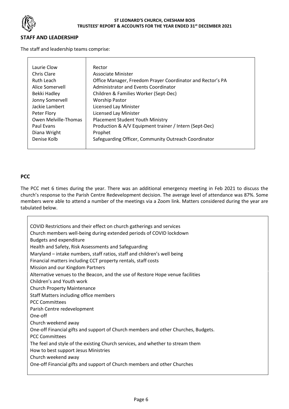

#### **STAFF AND LEADERSHIP**

The staff and leadership teams comprise:

| Laurie Clow          | Rector                                                     |
|----------------------|------------------------------------------------------------|
| Chris Clare          | Associate Minister                                         |
| <b>Ruth Leach</b>    | Office Manager, Freedom Prayer Coordinator and Rector's PA |
| Alice Somervell      | Administrator and Events Coordinator                       |
| Bekki Hadley         | Children & Families Worker (Sept-Dec)                      |
| Jonny Somervell      | <b>Worship Pastor</b>                                      |
| Jackie Lambert       | Licensed Lay Minister                                      |
| Peter Flory          | Licensed Lay Minister                                      |
| Owen Melville-Thomas | <b>Placement Student Youth Ministry</b>                    |
| Paul Evans           | Production & A/V Equipment trainer / Intern (Sept-Dec)     |
| Diana Wright         | Prophet                                                    |
| Denise Kolb          | Safeguarding Officer, Community Outreach Coordinator       |
|                      |                                                            |

#### **PCC**

The PCC met 6 times during the year. There was an additional emergency meeting in Feb 2021 to discuss the church's response to the Parish Centre Redevelopment decision. The average level of attendance was 87%. Some members were able to attend a number of the meetings via a Zoom link. Matters considered during the year are tabulated below.

COVID Restrictions and their effect on church gatherings and services Church members well-being during extended periods of COVID lockdown Budgets and expenditure Health and Safety, Risk Assessments and Safeguarding Maryland – intake numbers, staff ratios, staff and children's well being Financial matters including CCT property rentals, staff costs Mission and our Kingdom Partners Alternative venues to the Beacon, and the use of Restore Hope venue facilities Children's and Youth work Church Property Maintenance Staff Matters including office members PCC Committees Parish Centre redevelopment One-off Church weekend away One-off Financial gifts and support of Church members and other Churches, Budgets. PCC Committees The feel and style of the existing Church services, and whether to stream them How to best support Jesus Ministries Church weekend away One-off Financial gifts and support of Church members and other Churches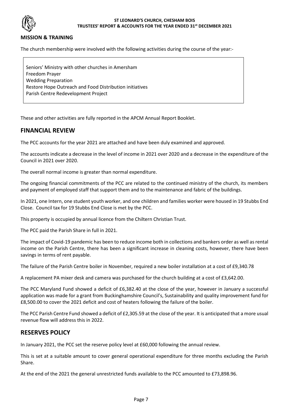

#### **MISSION & TRAINING**

The church membership were involved with the following activities during the course of the year:-

Seniors' Ministry with other churches in Amersham Freedom Prayer Wedding Preparation Restore Hope Outreach and Food Distribution initiatives Parish Centre Redevelopment Project

These and other activities are fully reported in the APCM Annual Report Booklet.

#### **FINANCIAL REVIEW**

The PCC accounts for the year 2021 are attached and have been duly examined and approved.

The accounts indicate a decrease in the level of income in 2021 over 2020 and a decrease in the expenditure of the Council in 2021 over 2020.

The overall normal income is greater than normal expenditure.

The ongoing financial commitments of the PCC are related to the continued ministry of the church, its members and payment of employed staff that support them and to the maintenance and fabric of the buildings.

In 2021, one Intern, one student youth worker, and one children and families worker were housed in 19 Stubbs End Close. Council tax for 19 Stubbs End Close is met by the PCC.

This property is occupied by annual licence from the Chiltern Christian Trust.

The PCC paid the Parish Share in full in 2021.

The impact of Covid-19 pandemic has been to reduce income both in collections and bankers order as well as rental income on the Parish Centre, there has been a significant increase in cleaning costs, however, there have been savings in terms of rent payable.

The failure of the Parish Centre boiler in November, required a new boiler installation at a cost of £9,340.78

A replacement PA mixer desk and camera was purchased for the church building at a cost of £3,642.00.

The PCC Maryland Fund showed a deficit of £6,382.40 at the close of the year, however in January a successful application was made for a grant from Buckinghamshire Council's, Sustainability and quality improvement fund for £8,500.00 to cover the 2021 deficit and cost of heaters following the failure of the boiler.

The PCC Parish Centre Fund showed a deficit of £2,305.59 at the close of the year. It is anticipated that a more usual revenue flow will address this in 2022.

#### **RESERVES POLICY**

In January 2021, the PCC set the reserve policy level at £60,000 following the annual review.

This is set at a suitable amount to cover general operational expenditure for three months excluding the Parish Share.

At the end of the 2021 the general unrestricted funds available to the PCC amounted to £73,898.96.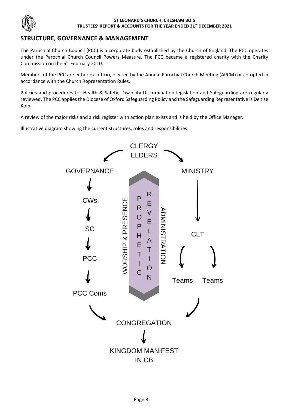

# **STRUCTURE, GOVERNANCE & MANAGEMENT**

The Parochial Church Council (PCC) is a corporate body established by the Church of England. The PCC operates under the Parochial Church Council Powers Measure. The PCC became a registered charity with the Charity Commission on the 5<sup>th</sup> February 2010.

Members of the PCC are either ex-officio, elected by the Annual Parochial Church Meeting (APCM) or co-opted in accordance with the Church Representation Rules.

Policies and procedures for Health & Safety, Disability Discrimination legislation and Safeguarding are regularly reviewed. The PCC applies the Diocese of Oxford Safeguarding Policy and the Safeguarding Representative is Denise Kolb.

A review of the major risks and a risk register with action plan exists and is held by the Office Manager.

Illustrative diagram showing the current structures, roles and responsibilities.

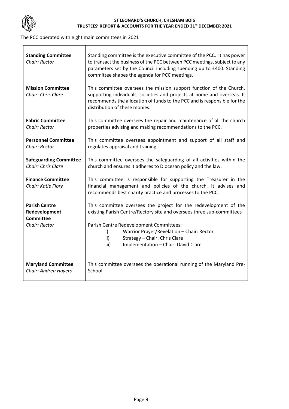

The PCC operated with eight main committees in 2021

| <b>Standing Committee</b><br>Chair: Rector          | Standing committee is the executive committee of the PCC. It has power<br>to transact the business of the PCC between PCC meetings, subject to any<br>parameters set by the Council including spending up to £400. Standing<br>committee shapes the agenda for PCC meetings. |  |  |  |  |  |
|-----------------------------------------------------|------------------------------------------------------------------------------------------------------------------------------------------------------------------------------------------------------------------------------------------------------------------------------|--|--|--|--|--|
| <b>Mission Committee</b><br>Chair: Chris Clare      | This committee oversees the mission support function of the Church,<br>supporting individuals, societies and projects at home and overseas. It<br>recommends the allocation of funds to the PCC and is responsible for the<br>distribution of these monies.                  |  |  |  |  |  |
| <b>Fabric Committee</b><br>Chair: Rector            | This committee oversees the repair and maintenance of all the church<br>properties advising and making recommendations to the PCC.                                                                                                                                           |  |  |  |  |  |
| <b>Personnel Committee</b><br>Chair: Rector         | This committee oversees appointment and support of all staff and<br>regulates appraisal and training.                                                                                                                                                                        |  |  |  |  |  |
| <b>Safeguarding Committee</b><br>Chair: Chris Clare | This committee oversees the safeguarding of all activities within the<br>church and ensures it adheres to Diocesan policy and the law.                                                                                                                                       |  |  |  |  |  |
| <b>Finance Committee</b><br>Chair: Katie Flory      | This committee is responsible for supporting the Treasurer in the<br>financial management and policies of the church, it advises and<br>recommends best charity practice and processes to the PCC.                                                                           |  |  |  |  |  |
| <b>Parish Centre</b><br>Redevelopment<br>Committee  | This committee oversees the project for the redevelopment of the<br>existing Parish Centre/Rectory site and oversees three sub-committees                                                                                                                                    |  |  |  |  |  |
| Chair: Rector                                       | Parish Centre Redevelopment Committees:<br>Warrior Prayer/Revelation - Chair: Rector<br>i)<br>$\mathsf{ii}$<br>Strategy - Chair: Chris Clare<br>Implementation - Chair: David Clare<br>iii)                                                                                  |  |  |  |  |  |
| <b>Maryland Committee</b><br>Chair: Andrea Hayers   | This committee oversees the operational running of the Maryland Pre-<br>School.                                                                                                                                                                                              |  |  |  |  |  |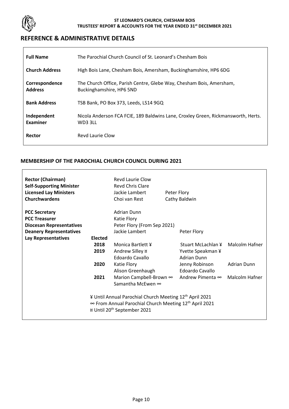

 $\Gamma$ 

 $\overline{a}$ 

# **REFERENCE & ADMINISTRATIVE DETAILS**

| <b>Full Name</b>                 | The Parochial Church Council of St. Leonard's Chesham Bois                                       |
|----------------------------------|--------------------------------------------------------------------------------------------------|
| <b>Church Address</b>            | High Bois Lane, Chesham Bois, Amersham, Buckinghamshire, HP6 6DG                                 |
| Correspondence<br><b>Address</b> | The Church Office, Parish Centre, Glebe Way, Chesham Bois, Amersham,<br>Buckinghamshire, HP6 5ND |
| <b>Bank Address</b>              | TSB Bank, PO Box 373, Leeds, LS14 9GQ                                                            |
| Independent<br>Examiner          | Nicola Anderson FCA FCIE, 189 Baldwins Lane, Croxley Green, Rickmansworth, Herts.<br>WD3 3LL     |
| Rector                           | Revd Laurie Clow                                                                                 |

#### **MEMBERSHIP OF THE PAROCHIAL CHURCH COUNCIL DURING 2021**

| <b>Rector (Chairman)</b><br><b>Self-Supporting Minister</b><br><b>Licensed Lay Ministers</b><br><b>Churchwardens</b> |         | Revd Laurie Clow<br><b>Revd Chris Clare</b><br>Jackie Lambert<br>Choi van Rest                                                                                                       | Peter Flory<br>Cathy Baldwin |                    |
|----------------------------------------------------------------------------------------------------------------------|---------|--------------------------------------------------------------------------------------------------------------------------------------------------------------------------------------|------------------------------|--------------------|
| <b>PCC Secretary</b>                                                                                                 |         | Adrian Dunn                                                                                                                                                                          |                              |                    |
| <b>PCC Treasurer</b>                                                                                                 |         | Katie Flory                                                                                                                                                                          |                              |                    |
| <b>Diocesan Representatives</b>                                                                                      |         | Peter Flory (From Sep 2021)                                                                                                                                                          |                              |                    |
| <b>Deanery Representatives</b>                                                                                       |         | Jackie Lambert                                                                                                                                                                       | Peter Flory                  |                    |
| Lay Representatives                                                                                                  | Elected |                                                                                                                                                                                      |                              |                    |
|                                                                                                                      | 2018    | Monica Bartlett ¥                                                                                                                                                                    | Stuart McLachlan ¥           | Malcolm Hafner     |
|                                                                                                                      | 2019    | Andrew Silley ¤                                                                                                                                                                      | Yvette Speakman ¥            |                    |
|                                                                                                                      |         | Edoardo Cavallo                                                                                                                                                                      | <b>Adrian Dunn</b>           |                    |
|                                                                                                                      | 2020    | Katie Flory                                                                                                                                                                          | Jenny Robinson               | <b>Adrian Dunn</b> |
|                                                                                                                      |         | Alison Greenhaugh                                                                                                                                                                    | Edoardo Cavallo              |                    |
|                                                                                                                      | 2021    | Marion Campbell-Brown $\infty$                                                                                                                                                       | Andrew Pimenta ∞             | Malcolm Hafner     |
|                                                                                                                      |         | Samantha McEwen ∞                                                                                                                                                                    |                              |                    |
|                                                                                                                      |         | ¥ Until Annual Parochial Church Meeting 12 <sup>th</sup> April 2021<br>∞ From Annual Parochial Church Meeting 12 <sup>th</sup> April 2021<br>¤ Until 20 <sup>th</sup> September 2021 |                              |                    |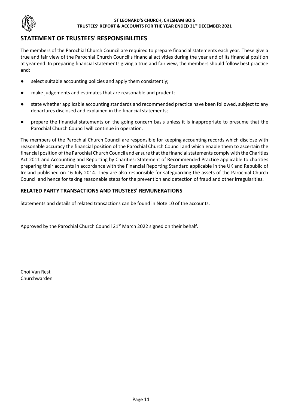

# **STATEMENT OF TRUSTEES' RESPONSIBILITIES**

The members of the Parochial Church Council are required to prepare financial statements each year. These give a true and fair view of the Parochial Church Council's financial activities during the year and of its financial position at year end. In preparing financial statements giving a true and fair view, the members should follow best practice and:

- select suitable accounting policies and apply them consistently;
- make judgements and estimates that are reasonable and prudent;
- state whether applicable accounting standards and recommended practice have been followed, subject to any departures disclosed and explained in the financial statements;
- prepare the financial statements on the going concern basis unless it is inappropriate to presume that the Parochial Church Council will continue in operation.

The members of the Parochial Church Council are responsible for keeping accounting records which disclose with reasonable accuracy the financial position of the Parochial Church Council and which enable them to ascertain the financial position of the Parochial Church Council and ensure that the financial statements comply with the Charities Act 2011 and Accounting and Reporting by Charities: Statement of Recommended Practice applicable to charities preparing their accounts in accordance with the Financial Reporting Standard applicable in the UK and Republic of Ireland published on 16 July 2014. They are also responsible for safeguarding the assets of the Parochial Church Council and hence for taking reasonable steps for the prevention and detection of fraud and other irregularities.

#### **RELATED PARTY TRANSACTIONS AND TRUSTEES' REMUNERATIONS**

Statements and details of related transactions can be found in Note 10 of the accounts.

Approved by the Parochial Church Council 21<sup>st</sup> March 2022 signed on their behalf.

Choi Van Rest Churchwarden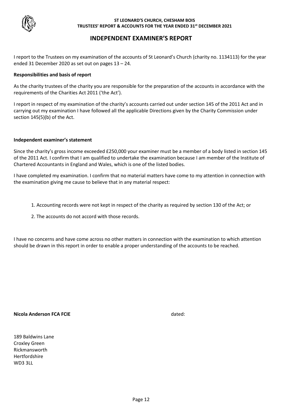

## **INDEPENDENT EXAMINER'S REPORT**

I report to the Trustees on my examination of the accounts of St Leonard's Church (charity no. 1134113) for the year ended 31 December 2020 as set out on pages 13 – 24.

#### **Responsibilities and basis of report**

As the charity trustees of the charity you are responsible for the preparation of the accounts in accordance with the requirements of the Charities Act 2011 ('the Act').

I report in respect of my examination of the charity's accounts carried out under section 145 of the 2011 Act and in carrying out my examination I have followed all the applicable Directions given by the Charity Commission under section 145(5)(b) of the Act.

#### **Independent examiner's statement**

Since the charity's gross income exceeded £250,000 your examiner must be a member of a body listed in section 145 of the 2011 Act. I confirm that I am qualified to undertake the examination because I am member of the Institute of Chartered Accountants in England and Wales, which is one of the listed bodies.

I have completed my examination. I confirm that no material matters have come to my attention in connection with the examination giving me cause to believe that in any material respect:

- 1. Accounting records were not kept in respect of the charity as required by section 130 of the Act; or
- 2. The accounts do not accord with those records.

I have no concerns and have come across no other matters in connection with the examination to which attention should be drawn in this report in order to enable a proper understanding of the accounts to be reached.

#### **Nicola Anderson FCA FCIE** dated: **and a set of the set of the set of the set of the set of the set of the set of the set of the set of the set of the set of the set of the set of the set of the set of the set of the set o**

189 Baldwins Lane Croxley Green Rickmansworth Hertfordshire WD3 3LL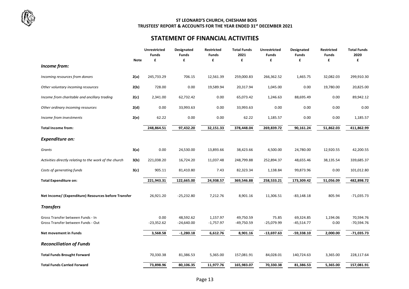# **STATEMENT OF FINANCIAL ACTIVITIES**

|                                                                         | <b>Note</b> | Unrestricted<br><b>Funds</b><br>£ | Designated<br><b>Funds</b><br>£ | Restricted<br>Funds<br>£ | <b>Total Funds</b><br>2021<br>£ | <b>Unrestricted</b><br><b>Funds</b><br>£ | Designated<br><b>Funds</b><br>£ | <b>Restricted</b><br><b>Funds</b><br>£ | <b>Total Funds</b><br>2020<br>£ |
|-------------------------------------------------------------------------|-------------|-----------------------------------|---------------------------------|--------------------------|---------------------------------|------------------------------------------|---------------------------------|----------------------------------------|---------------------------------|
| Income from:                                                            |             |                                   |                                 |                          |                                 |                                          |                                 |                                        |                                 |
| Incoming resources from donors                                          | 2(a)        | 245,733.29                        | 706.15                          | 12,561.39                | 259,000.83                      | 266,362.52                               | 1,465.75                        | 32,082.03                              | 299,910.30                      |
| Other voluntary incoming resources                                      | 2(b)        | 728.00                            | 0.00                            | 19,589.94                | 20,317.94                       | 1,045.00                                 | 0.00                            | 19,780.00                              | 20,825.00                       |
| Income from charitable and ancillary trading                            | 2(c)        | 2,341.00                          | 62,732.42                       | 0.00                     | 65,073.42                       | 1,246.63                                 | 88,695.49                       | 0.00                                   | 89,942.12                       |
| Other ordinary incoming resources                                       | 2(d)        | 0.00                              | 33,993.63                       | 0.00                     | 33,993.63                       | 0.00                                     | 0.00                            | 0.00                                   | 0.00                            |
| Income from investments                                                 | 2(e)        | 62.22                             | 0.00                            | 0.00                     | 62.22                           | 1,185.57                                 | 0.00                            | 0.00                                   | 1,185.57                        |
| <b>Total Income from:</b>                                               |             | 248,864.51                        | 97,432.20                       | 32,151.33                | 378,448.04                      | 269,839.72                               | 90,161.24                       | 51,862.03                              | 411,862.99                      |
| <b>Expenditure on:</b>                                                  |             |                                   |                                 |                          |                                 |                                          |                                 |                                        |                                 |
| Grants                                                                  | 3(a)        | 0.00                              | 24,530.00                       | 13,893.66                | 38,423.66                       | 4,500.00                                 | 24,780.00                       | 12,920.55                              | 42,200.55                       |
| Activities directly relating to the work of the church                  | 3(b)        | 221,038.20                        | 16,724.20                       | 11,037.48                | 248,799.88                      | 252,894.37                               | 48,655.46                       | 38,135.54                              | 339,685.37                      |
| Costs of generating funds                                               | 3(c)        | 905.11                            | 81,410.80                       | 7.43                     | 82,323.34                       | 1,138.84                                 | 99,873.96                       | 0.00                                   | 101,012.80                      |
| <b>Total Expenditure on:</b>                                            |             | 221,943.31                        | 122,665.00                      | 24,938.57                | 369,546.88                      | 258,533.21                               | 173,309.42                      | 51,056.09                              | 482,898.72                      |
| Net Income/ (Expenditure) Resources before Transfer                     |             | 26,921.20                         | $-25,232.80$                    | 7,212.76                 | 8,901.16                        | 11,306.51                                | $-83,148.18$                    | 805.94                                 | $-71,035.73$                    |
| <b>Transfers</b>                                                        |             |                                   |                                 |                          |                                 |                                          |                                 |                                        |                                 |
| Gross Transfer between Funds - In<br>Gross Transfer between Funds - Out |             | 0.00<br>$-23,352.62$              | 48,592.62<br>$-24,640.00$       | 1,157.97<br>$-1,757.97$  | 49,750.59<br>-49,750.59         | 75.85<br>$-25,079.99$                    | 69,324.85<br>$-45,514.77$       | 1,194.06<br>0.00                       | 70,594.76<br>$-70,594.76$       |
| <b>Net movement in Funds</b>                                            |             | 3,568.58                          | $-1,280.18$                     | 6,612.76                 | 8,901.16                        | $-13,697.63$                             | $-59,338.10$                    | 2,000.00                               | $-71,035.73$                    |
| <b>Reconciliation of Funds</b>                                          |             |                                   |                                 |                          |                                 |                                          |                                 |                                        |                                 |
| <b>Total Funds Brought Forward</b>                                      |             | 70,330.38                         | 81,386.53                       | 5,365.00                 | 157,081.91                      | 84,028.01                                | 140,724.63                      | 3,365.00                               | 228,117.64                      |
| <b>Total Funds Carried Forward</b>                                      |             | 73,898.96                         | 80,106.35                       | 11,977.76                | 165,983.07                      | 70,330.38                                | 81,386.53                       | 5,365.00                               | 157,081.91                      |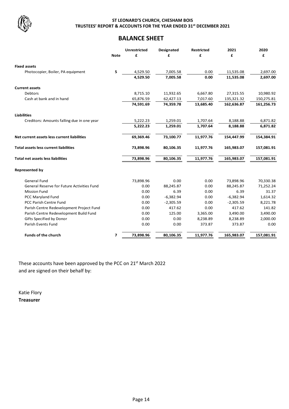

## **BALANCE SHEET**

|                                              |             | <b>Unrestricted</b> | <b>Designated</b> | <b>Restricted</b> | 2021        | 2020       |
|----------------------------------------------|-------------|---------------------|-------------------|-------------------|-------------|------------|
|                                              | <b>Note</b> | £                   | £                 | £                 | £           | £          |
| <b>Fixed assets</b>                          |             |                     |                   |                   |             |            |
| Photocopier, Boiler, PA equipment            | 5           | 4,529.50            | 7,005.58          | 0.00              | 11,535.08   | 2,697.00   |
|                                              |             | 4,529.50            | 7,005.58          | 0.00              | 11,535.08   | 2,697.00   |
| <b>Current assets</b>                        |             |                     |                   |                   |             |            |
| <b>Debtors</b>                               |             | 8,715.10            | 11,932.65         | 6,667.80          | 27,315.55   | 10,980.92  |
| Cash at bank and in hand                     |             | 65,876.59           | 62,427.13         | 7,017.60          | 135,321.32  | 150,275.81 |
|                                              |             | 74,591.69           | 74,359.78         | 13,685.40         | 162,636.87  | 161,256.73 |
| <b>Liabilities</b>                           |             |                     |                   |                   |             |            |
| Creditors: Amounts falling due in one year   |             | 5,222.23            | 1,259.01          | 1,707.64          | 8,188.88    | 6,871.82   |
|                                              |             | 5,222.23            | 1,259.01          | 1,707.64          | 8,188.88    | 6,871.82   |
| Net current assets less current liabilities  |             | 69,369.46           | 73,100.77         | 11,977.76         | 154,447.99  | 154,384.91 |
| <b>Total assets less current liabilities</b> |             | 73,898.96           | 80,106.35         | 11,977.76         | 165,983.07  | 157,081.91 |
| <b>Total net assets less liabilities</b>     |             | 73,898.96           | 80,106.35         | 11,977.76         | 165,983.07  | 157,081.91 |
| <b>Represented by</b>                        |             |                     |                   |                   |             |            |
| <b>General Fund</b>                          |             | 73,898.96           | 0.00              | 0.00              | 73,898.96   | 70,330.38  |
| General Reserve for Future Activities Fund   |             | 0.00                | 88,245.87         | 0.00              | 88,245.87   | 71,252.24  |
| <b>Mission Fund</b>                          |             | 0.00                | 6.39              | 0.00              | 6.39        | 31.37      |
| PCC Maryland Fund                            |             | 0.00                | $-6,382.94$       | 0.00              | $-6,382.94$ | 1,614.32   |
| PCC Parish Centre Fund                       |             | 0.00                | $-2,305.59$       | 0.00              | $-2,305.59$ | 8,221.78   |
| Parish Centre Redevelopment Project Fund     |             | 0.00                | 417.62            | 0.00              | 417.62      | 141.82     |
| Parish Centre Redevelopment Build Fund       |             | 0.00                | 125.00            | 3,365.00          | 3,490.00    | 3,490.00   |
| Gifts Specified by Donor                     |             | 0.00                | 0.00              | 8,238.89          | 8,238.89    | 2,000.00   |
| Parish Events Fund                           |             | 0.00                | 0.00              | 373.87            | 373.87      | 0.00       |
| <b>Funds of the church</b>                   | 7           | 73,898.96           | 80,106.35         | 11,977.76         | 165,983.07  | 157,081.91 |

These accounts have been approved by the PCC on 21<sup>st</sup> March 2022 and are signed on their behalf by:

Katie Flory **Treasurer**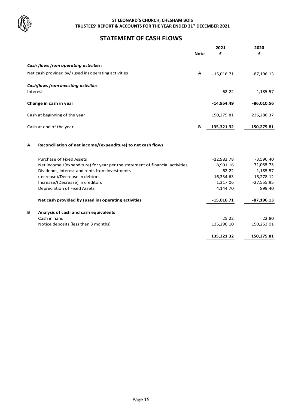

# **STATEMENT OF CASH FLOWS**

| <b>Note</b>                                                                  | 2021<br>£    | 2020<br>£    |
|------------------------------------------------------------------------------|--------------|--------------|
| Cash flows from operating activities:                                        |              |              |
| Net cash provided by/ (used in) operating activities<br>A                    | $-15,016.71$ | $-87,196.13$ |
| Cashflows from investing activities<br>Interest                              | 62.22        | 1,185.57     |
| Change in cash in year                                                       | $-14,954.49$ | $-86,010.56$ |
| Cash at beginning of the year                                                | 150,275.81   | 236,286.37   |
| Cash at end of the year<br>B                                                 | 135,321.32   | 150,275.81   |
| Reconciliation of net income/(expenditure) to net cash flows<br>A            |              |              |
| <b>Purchase of Fixed Assets</b>                                              | $-12,982.78$ | $-3,596.40$  |
| Net income /(expenditure) for year per the statement of financial activities | 8,901.16     | $-71,035.73$ |
| Dividends, interest and rents from investments                               | $-62.22$     | $-1,185.57$  |
| (Increase)/Decrease in debtors                                               | $-16,334.63$ | 15,278.12    |
| Increase/(Decrease) in creditors                                             | 1,317.06     | $-27,555.95$ |
| <b>Depreciation of Fixed Assets</b>                                          | 4,144.70     | 899.40       |
| Net cash provided by (used in) operating activities                          | $-15,016.71$ | $-87,196.13$ |
| Analysis of cash and cash equivalents<br>B                                   |              |              |
| Cash in hand                                                                 | 25.22        | 22.80        |
| Notice deposits (less than 3 months)                                         | 135,296.10   | 150,253.01   |
|                                                                              | 135,321.32   | 150,275.81   |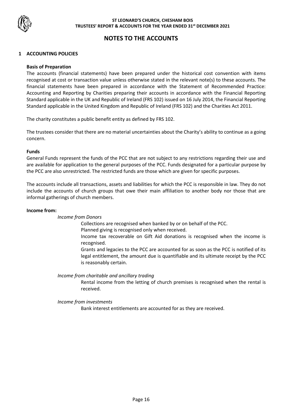

# **NOTES TO THE ACCOUNTS**

#### **1 ACCOUNTING POLICIES**

#### **Basis of Preparation**

The accounts (financial statements) have been prepared under the historical cost convention with items recognised at cost or transaction value unless otherwise stated in the relevant note(s) to these accounts. The financial statements have been prepared in accordance with the Statement of Recommended Practice: Accounting and Reporting by Charities preparing their accounts in accordance with the Financial Reporting Standard applicable in the UK and Republic of Ireland (FRS 102) issued on 16 July 2014, the Financial Reporting Standard applicable in the United Kingdom and Republic of Ireland (FRS 102) and the Charities Act 2011.

The charity constitutes a public benefit entity as defined by FRS 102.

The trustees consider that there are no material uncertainties about the Charity's ability to continue as a going concern.

#### **Funds**

General Funds represent the funds of the PCC that are not subject to any restrictions regarding their use and are available for application to the general purposes of the PCC. Funds designated for a particular purpose by the PCC are also unrestricted. The restricted funds are those which are given for specific purposes.

The accounts include all transactions, assets and liabilities for which the PCC is responsible in law. They do not include the accounts of church groups that owe their main affiliation to another body nor those that are informal gatherings of church members.

#### **Income from:**

#### *Income from Donors*

Collections are recognised when banked by or on behalf of the PCC.

Planned giving is recognised only when received.

Income tax recoverable on Gift Aid donations is recognised when the income is recognised.

Grants and legacies to the PCC are accounted for as soon as the PCC is notified of its legal entitlement, the amount due is quantifiable and its ultimate receipt by the PCC is reasonably certain.

*Income from charitable and ancillary trading*

Rental income from the letting of church premises is recognised when the rental is received.

*Income from investments*

Bank interest entitlements are accounted for as they are received.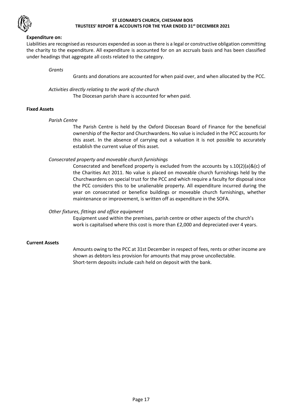

#### **Expenditure on:**

Liabilities are recognised as resources expended as soon as there is a legal or constructive obligation committing the charity to the expenditure. All expenditure is accounted for on an accruals basis and has been classified under headings that aggregate all costs related to the category.

#### *Grants*

Grants and donations are accounted for when paid over, and when allocated by the PCC.

*Activities directly relating to the work of the church* The Diocesan parish share is accounted for when paid.

#### **Fixed Assets**

#### *Parish Centre*

The Parish Centre is held by the Oxford Diocesan Board of Finance for the beneficial ownership of the Rector and Churchwardens. No value is included in the PCC accounts for this asset. In the absence of carrying out a valuation it is not possible to accurately establish the current value of this asset.

#### *Consecrated property and moveable church furnishings*

Consecrated and beneficed property is excluded from the accounts by  $s.10(2)(a)\&(c)$  of the Charities Act 2011. No value is placed on moveable church furnishings held by the Churchwardens on special trust for the PCC and which require a faculty for disposal since the PCC considers this to be unalienable property. All expenditure incurred during the year on consecrated or benefice buildings or moveable church furnishings, whether maintenance or improvement, is written off as expenditure in the SOFA.

#### *Other fixtures, fittings and office equipment*

Equipment used within the premises, parish centre or other aspects of the church's work is capitalised where this cost is more than £2,000 and depreciated over 4 years.

#### **Current Assets**

Amounts owing to the PCC at 31st December in respect of fees, rents or other income are shown as debtors less provision for amounts that may prove uncollectable. Short-term deposits include cash held on deposit with the bank.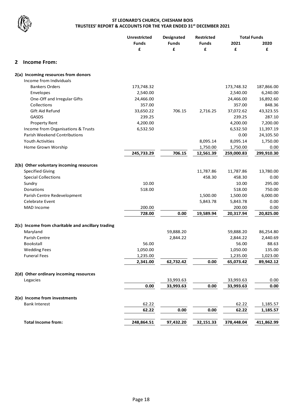

|                                                   | Unrestricted | <b>Designated</b><br><b>Restricted</b> |              | <b>Total Funds</b> |            |  |
|---------------------------------------------------|--------------|----------------------------------------|--------------|--------------------|------------|--|
|                                                   | <b>Funds</b> | <b>Funds</b>                           | <b>Funds</b> | 2021               | 2020       |  |
|                                                   | £            | £                                      | £            | £                  | £          |  |
| <b>Income From:</b><br>2                          |              |                                        |              |                    |            |  |
| 2(a) Incoming resources from donors               |              |                                        |              |                    |            |  |
| Income from Individuals                           |              |                                        |              |                    |            |  |
| <b>Bankers Orders</b>                             | 173,748.32   |                                        |              | 173,748.32         | 187,866.00 |  |
| Envelopes                                         | 2,540.00     |                                        |              | 2,540.00           | 6,240.00   |  |
| One-Off and Irregular Gifts                       | 24,466.00    |                                        |              | 24,466.00          | 16,892.60  |  |
| Collections                                       | 357.00       |                                        |              | 357.00             | 848.36     |  |
| Gift Aid Refund                                   | 33,650.22    | 706.15                                 | 2,716.25     | 37,072.62          | 43,323.55  |  |
| <b>GASDS</b>                                      | 239.25       |                                        |              | 239.25             | 287.10     |  |
| <b>Property Rent</b>                              | 4,200.00     |                                        |              | 4,200.00           | 7,200.00   |  |
| Income from Organisations & Trusts                | 6,532.50     |                                        |              | 6,532.50           | 11,397.19  |  |
| Parish Weekend Contributions                      |              |                                        |              | 0.00               | 24,105.50  |  |
| <b>Youth Activities</b>                           |              |                                        | 8,095.14     | 8,095.14           | 1,750.00   |  |
| Home Grown Worship                                |              |                                        | 1,750.00     | 1,750.00           | 0.00       |  |
|                                                   | 245,733.29   | 706.15                                 | 12,561.39    | 259,000.83         | 299,910.30 |  |
| 2(b) Other voluntary incoming resources           |              |                                        |              |                    |            |  |
| <b>Specified Giving</b>                           |              |                                        | 11,787.86    | 11,787.86          | 13,780.00  |  |
| <b>Special Collections</b>                        |              |                                        | 458.30       | 458.30             | 0.00       |  |
| Sundry                                            | 10.00        |                                        |              | 10.00              | 295.00     |  |
| Donations                                         | 518.00       |                                        |              | 518.00             | 750.00     |  |
| Parish Centre Redevelopment                       |              |                                        | 1,500.00     | 1,500.00           | 6,000.00   |  |
| Celebrate Event                                   |              |                                        | 5,843.78     | 5,843.78           | 0.00       |  |
| <b>MAD Income</b>                                 | 200.00       |                                        |              | 200.00             | 0.00       |  |
|                                                   | 728.00       | 0.00                                   | 19,589.94    | 20,317.94          | 20,825.00  |  |
| 2(c) Income from charitable and ancillary trading |              |                                        |              |                    |            |  |
| Maryland                                          |              | 59,888.20                              |              | 59,888.20          | 86,254.80  |  |
| Parish Centre                                     |              | 2,844.22                               |              | 2,844.22           | 2,440.69   |  |
| Bookstall                                         | 56.00        |                                        |              | 56.00              | 88.63      |  |
| <b>Wedding Fees</b>                               | 1,050.00     |                                        |              | 1,050.00           | 135.00     |  |
| <b>Funeral Fees</b>                               | 1,235.00     |                                        |              | 1,235.00           | 1,023.00   |  |
|                                                   | 2,341.00     | 62,732.42                              | 0.00         | 65,073.42          | 89,942.12  |  |
| 2(d) Other ordinary incoming resources            |              |                                        |              |                    |            |  |
| Legacies                                          |              | 33,993.63                              |              | 33,993.63          | 0.00       |  |
|                                                   | 0.00         | 33,993.63                              | 0.00         | 33,993.63          | 0.00       |  |
| 2(e) Income from investments                      |              |                                        |              |                    |            |  |
| <b>Bank Interest</b>                              | 62.22        |                                        |              | 62.22              | 1,185.57   |  |
|                                                   | 62.22        | 0.00                                   | 0.00         | 62.22              | 1,185.57   |  |
| <b>Total Income from:</b>                         | 248,864.51   | 97,432.20                              | 32,151.33    | 378,448.04         | 411,862.99 |  |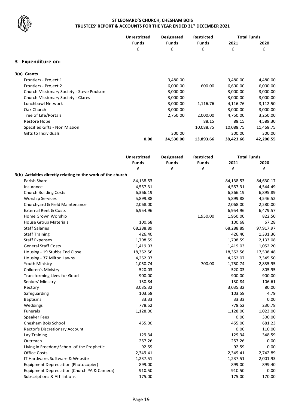

|                                           | <b>Unrestricted</b><br><b>Designated</b> |              | <b>Restricted</b> | <b>Total Funds</b> |           |
|-------------------------------------------|------------------------------------------|--------------|-------------------|--------------------|-----------|
|                                           | <b>Funds</b>                             | <b>Funds</b> | <b>Funds</b>      | 2021               | 2020      |
|                                           | £                                        | £            | £                 | £                  | £         |
| 3 Expenditure on:                         |                                          |              |                   |                    |           |
| 3(a) Grants                               |                                          |              |                   |                    |           |
| Frontiers - Project 1                     |                                          | 3,480.00     |                   | 3,480.00           | 4,480.00  |
| Frontiers - Project 2                     |                                          | 6,000.00     | 600.00            | 6,600.00           | 6,000.00  |
| Church Missionary Society - Steve Poulson |                                          | 3,000.00     |                   | 3,000.00           | 3,000.00  |
| Church Missionary Society - Clares        |                                          | 3,000.00     |                   | 3,000.00           | 3,000.00  |
| Lunchbowl Network                         |                                          | 3,000.00     | 1,116.76          | 4,116.76           | 3,112.50  |
| Oak Church                                |                                          | 3,000.00     |                   | 3,000.00           | 3,000.00  |
| Tree of Life/Portals                      |                                          | 2,750.00     | 2,000.00          | 4,750.00           | 3,250.00  |
| <b>Restore Hope</b>                       |                                          |              | 88.15             | 88.15              | 4,589.30  |
| Specified Gifts - Non Mission             |                                          |              | 10,088.75         | 10,088.75          | 11,468.75 |
| Gifts to Individuals                      |                                          | 300.00       |                   | 300.00             | 300.00    |
|                                           | 0.00                                     | 24,530.00    | 13,893.66         | 38,423.66          | 42,200.55 |
|                                           |                                          |              |                   |                    |           |

|                                                             | <b>Unrestricted</b> | Designated   | <b>Restricted</b> |           | <b>Total Funds</b> |  |
|-------------------------------------------------------------|---------------------|--------------|-------------------|-----------|--------------------|--|
|                                                             | <b>Funds</b>        | <b>Funds</b> | <b>Funds</b>      | 2021      | 2020               |  |
|                                                             | £                   | £            | £                 | £         | £                  |  |
| 3(b) Activities directly relating to the work of the church |                     |              |                   |           |                    |  |
| Parish Share                                                | 84,138.53           |              |                   | 84,138.53 | 84,630.17          |  |
| Insurance                                                   | 4,557.31            |              |                   | 4,557.31  | 4,544.49           |  |
| <b>Church Building Costs</b>                                | 6,366.19            |              |                   | 6,366.19  | 6,895.89           |  |
| <b>Worship Services</b>                                     | 5,899.88            |              |                   | 5,899.88  | 4,546.52           |  |
| Churchyard & Field Maintenance                              | 2,068.00            |              |                   | 2,068.00  | 2,280.00           |  |
| <b>External Rent &amp; Costs</b>                            | 6,954.96            |              |                   | 6,954.96  | 6,479.57           |  |
| Home Grown Worship                                          |                     |              | 1,950.00          | 1,950.00  | 822.50             |  |
| <b>House Group Materials</b>                                | 100.68              |              |                   | 100.68    | 67.28              |  |
| <b>Staff Salaries</b>                                       | 68,288.89           |              |                   | 68,288.89 | 97,917.97          |  |
| <b>Staff Training</b>                                       | 426.40              |              |                   | 426.40    | 1,331.36           |  |
| <b>Staff Expenses</b>                                       | 1,798.59            |              |                   | 1,798.59  | 2,133.08           |  |
| <b>General Staff Costs</b>                                  | 1,419.03            |              |                   | 1,419.03  | 1,052.20           |  |
| Housing - 19 Stubbs End Close                               | 18,352.56           |              |                   | 18,352.56 | 17,508.48          |  |
| Housing - 37 Milton Lawns                                   | 4,252.07            |              |                   | 4,252.07  | 7,345.50           |  |
| <b>Youth Ministry</b>                                       | 1,050.74            |              | 700.00            | 1,750.74  | 2,835.95           |  |
| <b>Children's Ministry</b>                                  | 520.03              |              |                   | 520.03    | 805.95             |  |
| <b>Transforming Lives for Good</b>                          | 900.00              |              |                   | 900.00    | 900.00             |  |
| Seniors' Ministry                                           | 130.84              |              |                   | 130.84    | 106.61             |  |
| Rectory                                                     | 3,035.32            |              |                   | 3,035.32  | 80.00              |  |
| Safeguarding                                                | 103.58              |              |                   | 103.58    | 4.79               |  |
| <b>Baptisms</b>                                             | 33.33               |              |                   | 33.33     | 0.00               |  |
| Weddings                                                    | 778.52              |              |                   | 778.52    | 230.78             |  |
| <b>Funerals</b>                                             | 1,128.00            |              |                   | 1,128.00  | 1,023.00           |  |
| <b>Speaker Fees</b>                                         |                     |              |                   | 0.00      | 300.00             |  |
| Chesham Bois School                                         | 455.00              |              |                   | 455.00    | 681.23             |  |
| Rector's Discretionary Account                              |                     |              |                   | 0.00      | 110.00             |  |
| Lay Training                                                | 129.34              |              |                   | 129.34    | 348.59             |  |
| Outreach                                                    | 257.26              |              |                   | 257.26    | 0.00               |  |
| Living in Freedom/School of the Prophetic                   | 92.59               |              |                   | 92.59     | 0.00               |  |
| <b>Office Costs</b>                                         | 2,349.41            |              |                   | 2,349.41  | 2,742.89           |  |
| IT Hardware, Software & Website                             | 1,237.51            |              |                   | 1,237.51  | 2,001.93           |  |
| <b>Equipment Depreciation (Photocopier)</b>                 | 899.00              |              |                   | 899.00    | 899.40             |  |
| Equipment Depreciation (Church PA & Camera)                 | 910.50              |              |                   | 910.50    | 0.00               |  |
| <b>Subscriptions &amp; Affiliations</b>                     | 175.00              |              |                   | 175.00    | 170.00             |  |
|                                                             |                     |              |                   |           |                    |  |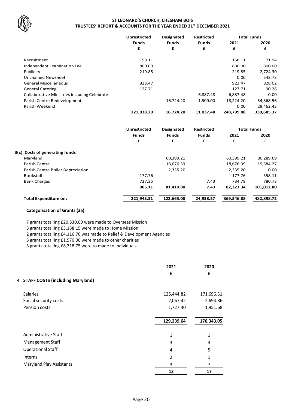

|                                              | <b>Unrestricted</b> | <b>Designated</b> | <b>Restricted</b> | <b>Total Funds</b> |            |
|----------------------------------------------|---------------------|-------------------|-------------------|--------------------|------------|
|                                              | <b>Funds</b>        | <b>Funds</b>      | <b>Funds</b>      | 2021               | 2020       |
|                                              | £                   | £                 | £                 | £                  | £          |
| Recruitment                                  | 158.11              |                   |                   | 158.11             | 71.94      |
| Independent Examination Fee                  | 800.00              |                   |                   | 800.00             | 800.00     |
| Publicity                                    | 219.85              |                   |                   | 219.85             | 2,724.30   |
| <b>Unchained Newsheet</b>                    |                     |                   |                   | 0.00               | 543.73     |
| <b>General Miscellaneous</b>                 | 923.47              |                   |                   | 923.47             | 828.02     |
| <b>General Catering</b>                      | 127.71              |                   |                   | 127.71             | 90.26      |
| Collaborative Ministries including Celebrate |                     |                   | 6.887.48          | 6,887.48           | 0.00       |
| Parish Centre Redevelopment                  |                     | 16,724.20         | 1,500.00          | 18,224.20          | 54,368.56  |
| Parish Weekend                               |                     |                   |                   | 0.00               | 29,462.43  |
|                                              | 221,038.20          | 16.724.20         | 11.037.48         | 248.799.88         | 339,685.37 |

|                                   | <b>Unrestricted</b> | <b>Designated</b> | <b>Restricted</b> | <b>Total Funds</b> |            |
|-----------------------------------|---------------------|-------------------|-------------------|--------------------|------------|
|                                   | <b>Funds</b>        | <b>Funds</b>      | <b>Funds</b>      | 2021               | 2020       |
|                                   | £                   | £                 | £                 | £                  | £          |
| 3(c) Costs of generating funds    |                     |                   |                   |                    |            |
| Maryland                          |                     | 60,399.21         |                   | 60,399.21          | 80,289.69  |
| Parish Centre                     |                     | 18,676.39         |                   | 18,676.39          | 19,584.27  |
| Parish Centre Boiler Depreciation |                     | 2,335.20          |                   | 2,335.20           | 0.00       |
| Bookstall                         | 177.76              |                   |                   | 177.76             | 358.11     |
| <b>Bank Charges</b>               | 727.35              |                   | 7.43              | 734.78             | 780.73     |
|                                   | 905.11              | 81,410.80         | 7.43              | 82,323.34          | 101,012.80 |
| <b>Total Expenditure on:</b>      | 221,943.31          | 122.665.00        | 24,938.57         | 369,546.88         | 482,898.72 |

#### **Categorisation of Grants (3a)**

7 grants totalling £20,830.00 were made to Overseas Mission

3 grants totalling £3,188.15 were made to Home Mission

2 grants totalling £4,116.76 was made to Relief & Development Agencies

3 grants totalling £1,570.00 were made to other charities

3 grants totalling £8,718.75 were to made to individuals

|                                    | 2021<br>£  | 2020<br>£  |
|------------------------------------|------------|------------|
| 4 STAFF COSTS (including Maryland) |            |            |
| <b>Salaries</b>                    | 125,444.82 | 171,696.51 |
| Social security costs              | 2,067.42   | 2,694.86   |
| Pension costs                      | 1,727.40   | 1,951.68   |
|                                    | 129,239.64 | 176,343.05 |
| Administrative Staff               | 1          | 1          |
| Management Staff                   | 3          | 3          |
| <b>Operational Staff</b>           | 4          | 5          |
| Interns                            | 2          | 1          |
| <b>Maryland Play Assistants</b>    | 3          | 7          |
|                                    | 13         | 17         |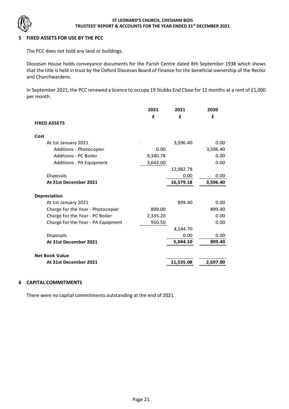

#### **5 FIXED ASSETS FOR USE BY THE PCC**

The PCC does not hold any land or buildings.

Diocesan House holds conveyance documents for the Parish Centre dated 8th September 1938 which shows that the title is held in trust by the Oxford Diocesan Board of Finance for the beneficial ownership of the Rector and Churchwardens.

In September 2021, the PCC renewed a licence to occupy 19 Stubbs End Close for 12 months at a rent of £1,000 per month.

|                                    | 2021     | 2021      | 2020     |
|------------------------------------|----------|-----------|----------|
|                                    | £        | £         | £        |
| <b>FIXED ASSETS</b>                |          |           |          |
|                                    |          |           |          |
| Cost                               |          |           |          |
| At 1st January 2021                |          | 3,596.40  | 0.00     |
| Additions - Photocopier            | 0.00     |           | 3,596.40 |
| Additions - PC Boiler              | 9,340.78 |           | 0.00     |
| Additions - PA Equipment           | 3,642.00 |           | 0.00     |
|                                    |          | 12,982.78 |          |
| <b>Disposals</b>                   |          | 0.00      | 0.00     |
| At 31st December 2021              |          | 16,579.18 | 3,596.40 |
|                                    |          |           |          |
| <b>Depreciation</b>                |          |           |          |
| At 1st January 2021                |          | 899.40    | 0.00     |
| Charge for the Year - Photocopier  | 899.00   |           | 899.40   |
| Charge for the Year - PC Boiler    | 2,335.20 |           | 0.00     |
| Charge for the Year - PA Equipment | 910.50   |           | 0.00     |
|                                    |          | 4,144.70  |          |
| Disposals                          |          | 0.00      | 0.00     |
| At 31st December 2021              |          | 5,044.10  | 899.40   |
|                                    |          |           |          |
| <b>Net Book Value</b>              |          |           |          |
| At 31st December 2021              |          | 11,535.08 | 2,697.00 |
|                                    |          |           |          |

#### **6 CAPITAL COMMITMENTS**

There were no capital commitments outstanding at the end of 2021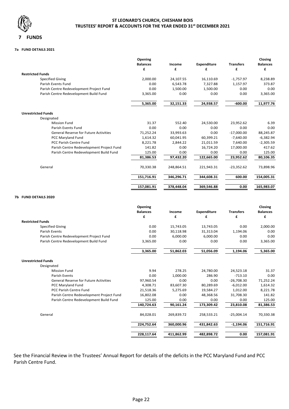

#### **7a FUND DETAILS 2021**

|                                              | Opening         |            |                    |                  | Closing         |
|----------------------------------------------|-----------------|------------|--------------------|------------------|-----------------|
|                                              | <b>Balances</b> | Income     | <b>Expenditure</b> | <b>Transfers</b> | <b>Balances</b> |
|                                              | £               | £          | £                  | £                | £               |
| <b>Restricted Funds</b>                      |                 |            |                    |                  |                 |
| <b>Specified Giving</b>                      | 2,000.00        | 24,107.55  | 16,110.69          | $-1,757.97$      | 8,238.89        |
| Parish Events Fund                           | 0.00            | 6,543.78   | 7,327.88           | 1,157.97         | 373.87          |
| Parish Centre Redevelopment Project Fund     | 0.00            | 1,500.00   | 1,500.00           | 0.00             | 0.00            |
| Parish Centre Redevelopment Build Fund       | 3,365.00        | 0.00       | 0.00               | 0.00             | 3,365.00        |
|                                              | 5,365.00        | 32,151.33  | 24,938.57          | $-600.00$        | 11,977.76       |
| <b>Unrestricted Funds</b>                    |                 |            |                    |                  |                 |
| Designated                                   |                 |            |                    |                  |                 |
| <b>Mission Fund</b>                          | 31.37           | 552.40     | 24,530.00          | 23,952.62        | 6.39            |
| Parish Events Fund                           | 0.00            | 0.00       | 0.00               | 0.00             | 0.00            |
| <b>General Reserve for Future Activities</b> | 71,252.24       | 33,993.63  | 0.00               | $-17,000.00$     | 88,245.87       |
| PCC Maryland Fund                            | 1,614.32        | 60,041.95  | 60,399.21          | $-7.640.00$      | $-6,382.94$     |
| <b>PCC Parish Centre Fund</b>                | 8,221.78        | 2,844.22   | 21,011.59          | 7.640.00         | $-2,305.59$     |
| Parish Centre Redevelopment Project Fund     | 141.82          | 0.00       | 16,724.20          | 17,000.00        | 417.62          |
| Parish Centre Redevelopment Build Fund       | 125.00          | 0.00       | 0.00               | 0.00             | 125.00          |
|                                              | 81,386.53       | 97,432.20  | 122,665.00         | 23,952.62        | 80,106.35       |
| General                                      | 70,330.38       | 248,864.51 | 221,943.31         | $-23,352.62$     | 73,898.96       |
|                                              | 151,716.91      | 346,296.71 | 344,608.31         | 600.00           | 154,005.31      |
|                                              | 157,081.91      | 378,448.04 | 369,546.88         | 0.00             | 165,983.07      |

#### **7b FUND DETAILS 2020**

|                                              | Opening<br><b>Balances</b> | Income     | <b>Expenditure</b> | <b>Transfers</b> | Closing<br><b>Balances</b> |
|----------------------------------------------|----------------------------|------------|--------------------|------------------|----------------------------|
|                                              | £                          | £          | £                  | £                | £                          |
| <b>Restricted Funds</b>                      |                            |            |                    |                  |                            |
| <b>Specified Giving</b>                      | 0.00                       | 15,743.05  | 13,743.05          | 0.00             | 2,000.00                   |
| <b>Parish Events</b>                         | 0.00                       | 30,118.98  | 31,313.04          | 1,194.06         | 0.00                       |
| Parish Centre Redevelopment Project Fund     | 0.00                       | 6.000.00   | 6,000.00           | 0.00             | 0.00                       |
| Parish Centre Redevelopment Build Fund       | 3,365.00                   | 0.00       | 0.00               | 0.00             | 3,365.00                   |
|                                              | 3,365.00                   | 51,862.03  | 51,056.09          | 1,194.06         | 5,365.00                   |
| <b>Unrestricted Funds</b>                    |                            |            |                    |                  |                            |
| Designated                                   |                            |            |                    |                  |                            |
| <b>Mission Fund</b>                          | 9.94                       | 278.25     | 24,780.00          | 24,523.18        | 31.37                      |
| <b>Parish Events</b>                         | 0.00                       | 1.000.00   | 286.90             | $-713.10$        | 0.00                       |
| <b>General Reserve for Future Activities</b> | 97,960.54                  | 0.00       | 0.00               | $-26,708.30$     | 71,252.24                  |
| PCC Maryland Fund                            | 4,308.71                   | 83,607.30  | 80,289.69          | $-6,012.00$      | 1,614.32                   |
| <b>PCC Parish Centre Fund</b>                | 21,518.36                  | 5,275.69   | 19,584.27          | 1,012.00         | 8,221.78                   |
| Parish Centre Redevelopment Project Fund     | 16,802.08                  | 0.00       | 48,368.56          | 31,708.30        | 141.82                     |
| Parish Centre Redevelopment Build Fund       | 125.00                     | 0.00       | 0.00               | 0.00             | 125.00                     |
|                                              | 140,724.63                 | 90,161.24  | 173,309.42         | 23,810.08        | 81,386.53                  |
| General                                      | 84,028.01                  | 269,839.72 | 258,533.21         | $-25,004.14$     | 70,330.38                  |
|                                              | 224,752.64                 | 360,000.96 | 431,842.63         | $-1,194.06$      | 151,716.91                 |
|                                              | 228,117.64                 | 411,862.99 | 482,898.72         | 0.00             | 157,081.91                 |

See the Financial Review in the Trustees' Annual Report for details of the deficits in the PCC Maryland Fund and PCC Parish Centre Fund.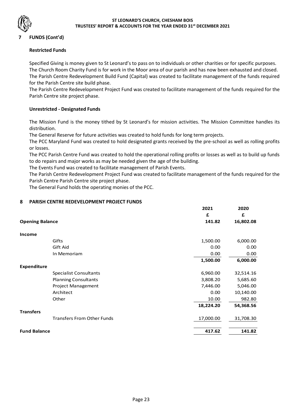#### **7 FUNDS (Cont'd)**

#### **Restricted Funds**

Specified Giving is money given to St Leonard's to pass on to individuals or other charities or for specific purposes. The Church Room Charity Fund is for work in the Moor area of our parish and has now been exhausted and closed. The Parish Centre Redevelopment Build Fund (Capital) was created to facilitate management of the funds required for the Parish Centre site build phase.

The Parish Centre Redevelopment Project Fund was created to facilitate management of the funds required for the Parish Centre site project phase.

#### **Unrestricted - Designated Funds**

The Mission Fund is the money tithed by St Leonard's for mission activities. The Mission Committee handles its distribution.

The General Reserve for future activities was created to hold funds for long term projects.

The PCC Maryland Fund was created to hold designated grants received by the pre-school as well as rolling profits or losses.

The PCC Parish Centre Fund was created to hold the operational rolling profits or losses as well as to build up funds to do repairs and major works as may be needed given the age of the building.

The Events Fund was created to facilitate management of Parish Events.

The Parish Centre Redevelopment Project Fund was created to facilitate management of the funds required for the Parish Centre Parish Centre site project phase.

The General Fund holds the operating monies of the PCC.

#### **8 PARISH CENTRE REDEVELOPMENT PROJECT FUNDS**

|                        |                                   | 2021      | 2020      |
|------------------------|-----------------------------------|-----------|-----------|
|                        |                                   | £         | £         |
| <b>Opening Balance</b> |                                   | 141.82    | 16,802.08 |
| Income                 |                                   |           |           |
|                        | Gifts                             | 1,500.00  | 6,000.00  |
|                        | Gift Aid                          | 0.00      | 0.00      |
|                        | In Memoriam                       | 0.00      | 0.00      |
|                        |                                   | 1,500.00  | 6,000.00  |
| <b>Expenditure</b>     |                                   |           |           |
|                        | <b>Specialist Consultants</b>     | 6,960.00  | 32,514.16 |
|                        | <b>Planning Consultants</b>       | 3,808.20  | 5,685.60  |
|                        | <b>Project Management</b>         | 7,446.00  | 5,046.00  |
|                        | Architect                         | 0.00      | 10,140.00 |
|                        | Other                             | 10.00     | 982.80    |
|                        |                                   | 18,224.20 | 54,368.56 |
| <b>Transfers</b>       |                                   |           |           |
|                        | <b>Transfers From Other Funds</b> | 17,000.00 | 31,708.30 |
|                        |                                   |           |           |
| <b>Fund Balance</b>    |                                   | 417.62    | 141.82    |